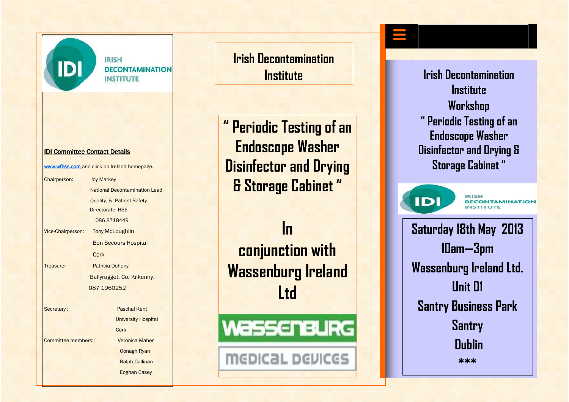

**IRISH DECONTAMINATION INSTITUTE** 

Lead

#### IDI Committee Contact Details

www.wfhss.com and click on Ireland homepage.

| Chairperson:        | <b>Joy Markey</b>                   |
|---------------------|-------------------------------------|
|                     | <b>National Decontamination Lea</b> |
|                     | Quality, & Patient Safety           |
|                     | Directorate HSE                     |
|                     | 086 8718449                         |
| Vice-Chairperson:   | <b>Tony McLoughlin</b>              |
|                     | <b>Bon Secours Hospital</b>         |
|                     | Cork                                |
| <b>Treasurer</b>    | <b>Patricia Doheny</b>              |
|                     | Ballyragget, Co. Kilkenny.          |
|                     | 087 1960252                         |
|                     |                                     |
| Secretary:          | Paschal Kent                        |
|                     | <b>University Hospital</b>          |
|                     | Cork                                |
| Committee members:: | <b>Veronica Maher</b>               |
|                     | <b>Oonagh Ryan</b>                  |
|                     |                                     |

 Ralph Cullinan Eoghan Casey

**Irish Decontamination Institute** 

**" Periodic Testing of an Endoscope Washer Disinfector and Drying & Storage Cabinet "** 

**In conjunction with Wassenburg Ireland Ltd** 

WassenBURG

**MEDICAL DEVICES** 

**Irish Decontamination Institute Workshop " Periodic Testing of an Endoscope Washer Disinfector and Drying & Storage Cabinet "** 



**IRISH** *DECONTAMINATION* **INSTITUTE** 

**Saturday 18th May 2013 10am—3pm Wassenburg Ireland Ltd. Unit D1 Santry Business Park Santry Dublin \*\*\***